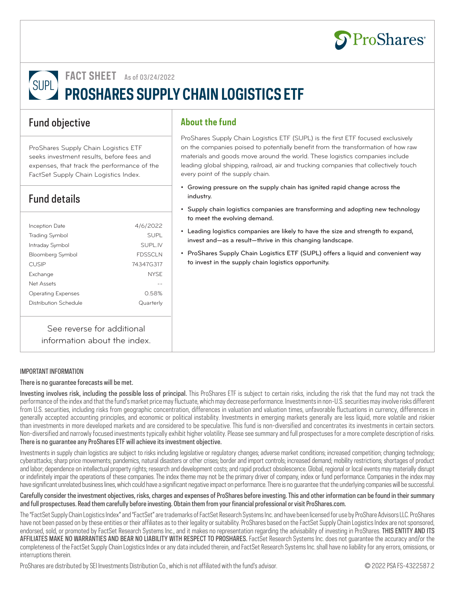

**FACT SHEET** As of 03/24/2022

SUPL **PROSHARES SUPPLY CHAIN LOGISTICS ETF** 

## Fund objective

ProShares Supply Chain Logistics ETF seeks investment results, before fees and expenses, that track the performance of the FactSet Supply Chain Logistics Index.

# Fund details

| Inception Date            | 4/6/2022       |
|---------------------------|----------------|
| <b>Trading Symbol</b>     | <b>SUPI</b>    |
| Intraday Symbol           | SUPL IV        |
| <b>Bloomberg Symbol</b>   | <b>FDSSCLN</b> |
| <b>CUSIP</b>              | 74347G317      |
| Exchange                  | <b>NYSE</b>    |
| Net Assets                |                |
| <b>Operating Expenses</b> | 0.58%          |
| Distribution Schedule     | Quarterly      |
|                           |                |
|                           |                |

See reverse for additional information about the index.

#### IMPORTANT INFORMATION

#### There is no guarantee forecasts will be met.

Investing involves risk, including the possible loss of principal. This ProShares ETF is subject to certain risks, including the risk that the fund may not track the performance of the index and that the fund's market price may fluctuate, which may decrease performance. Investments in non-U.S. securities may involve risks different from U.S. securities, including risks from geographic concentration, differences in valuation and valuation times, unfavorable fluctuations in currency, differences in generally accepted accounting principles, and economic or political instability. Investments in emerging markets generally are less liquid, more volatile and riskier than investments in more developed markets and are considered to be speculative. This fund is non-diversified and concentrates its investments in certain sectors. Non-diversified and narrowly focused investments typically exhibit higher volatility. Please see summary and full prospectuses for a more complete description of risks. There is no guarantee any ProShares ETF will achieve its investment objective.

Investments in supply chain logistics are subject to risks including legislative or regulatory changes; adverse market conditions; increased competition; changing technology; cyberattacks; sharp price movements; pandemics, natural disasters or other crises; border and import controls; increased demand; mobility restrictions; shortages of product and labor; dependence on intellectual property rights; research and development costs; and rapid product obsolescence. Global, regional or local events may materially disrupt or indefinitely impair the operations of these companies. The index theme may not be the primary driver of company, index or fund performance. Companies in the index may have significant unrelated business lines, which could have a significant negative impact on performance. There is no guarantee that the underlying companies will be successful.

Carefully consider the investment objectives, risks, charges and expenses of ProShares before investing. This and other information can be found in their summary and full prospectuses. Read them carefully before investing. Obtain them from your financial professional or visit ProShares.com.

The "FactSet Supply Chain Logistics Index" and "FactSet" are trademarks of FactSet Research Systems Inc. and have been licensed for use by ProShare Advisors LLC. ProShares have not been passed on by these entities or their affiliates as to their legality or suitability. ProShares based on the FactSet Supply Chain Logistics Index are not sponsored, endorsed, sold, or promoted by FactSet Research Systems Inc., and it makes no representation regarding the advisability of investing in ProShares. THIS ENTITY AND ITS AFFILIATES MAKE NO WARRANTIES AND BEAR NO LIABILITY WITH RESPECT TO PROSHARES. FactSet Research Systems Inc. does not guarantee the accuracy and/or the completeness of the FactSet Supply Chain Logistics Index or any data included therein, and FactSet Research Systems Inc. shall have no liability for any errors, omissions, or interruptions therein.

ProShares are distributed by SEI Investments Distribution Co., which is not affiliated with the fund's advisor. © 2022 PSA FS-4322587.2

# **About the fund**

ProShares Supply Chain Logistics ETF (SUPL) is the first ETF focused exclusively on the companies poised to potentially benefit from the transformation of how raw materials and goods move around the world. These logistics companies include leading global shipping, railroad, air and trucking companies that collectively touch every point of the supply chain.

- Growing pressure on the supply chain has ignited rapid change across the industry.
- Supply chain logistics companies are transforming and adopting new technology to meet the evolving demand.
- Leading logistics companies are likely to have the size and strength to expand, invest and—as a result—thrive in this changing landscape.
- ProShares Supply Chain Logistics ETF (SUPL) offers a liquid and convenient way to invest in the supply chain logistics opportunity.